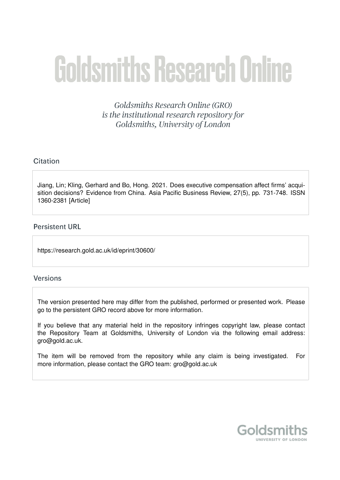# **Goldsmiths Research Online**

Goldsmiths Research Online (GRO) is the institutional research repository for Goldsmiths, University of London

# Citation

Jiang, Lin; Kling, Gerhard and Bo, Hong. 2021. Does executive compensation affect firms' acquisition decisions? Evidence from China. Asia Pacific Business Review, 27(5), pp. 731-748. ISSN 1360-2381 [Article]

# **Persistent URL**

https://research.gold.ac.uk/id/eprint/30600/

# **Versions**

The version presented here may differ from the published, performed or presented work. Please go to the persistent GRO record above for more information.

If you believe that any material held in the repository infringes copyright law, please contact the Repository Team at Goldsmiths, University of London via the following email address: gro@gold.ac.uk.

The item will be removed from the repository while any claim is being investigated. For more information, please contact the GRO team: gro@gold.ac.uk

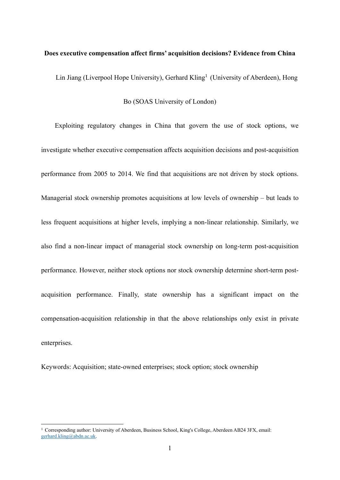#### **Does executive compensation affect firms' acquisition decisions? Evidence from China**

Lin Jiang (Liverpool Hope University), Gerhard Kling<sup>1</sup> (University of Aberdeen), Hong

Bo (SOAS University of London)

Exploiting regulatory changes in China that govern the use of stock options, we investigate whether executive compensation affects acquisition decisions and post-acquisition performance from 2005 to 2014. We find that acquisitions are not driven by stock options. Managerial stock ownership promotes acquisitions at low levels of ownership – but leads to less frequent acquisitions at higher levels, implying a non-linear relationship. Similarly, we also find a non-linear impact of managerial stock ownership on long-term post-acquisition performance. However, neither stock options nor stock ownership determine short-term postacquisition performance. Finally, state ownership has a significant impact on the compensation-acquisition relationship in that the above relationships only exist in private enterprises.

Keywords: Acquisition; state-owned enterprises; stock option; stock ownership

<sup>1</sup> Corresponding author: University of Aberdeen, Business School, King's College, Aberdeen AB24 3FX, email: [gerhard.kling@abdn.ac.uk.](mailto:gerhard.kling@abdn.ac.uk)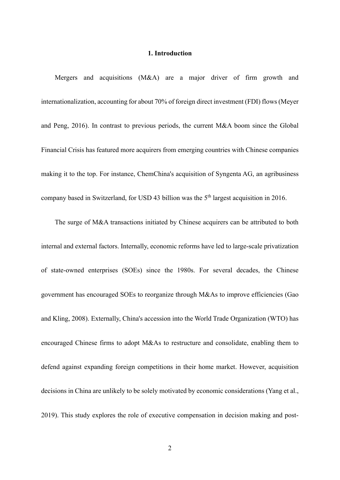#### **1. Introduction**

Mergers and acquisitions (M&A) are a major driver of firm growth and internationalization, accounting for about 70% of foreign direct investment (FDI) flows (Meyer and Peng, 2016). In contrast to previous periods, the current M&A boom since the Global Financial Crisis has featured more acquirers from emerging countries with Chinese companies making it to the top. For instance, ChemChina's acquisition of Syngenta AG, an agribusiness company based in Switzerland, for USD 43 billion was the  $5<sup>th</sup>$  largest acquisition in 2016.

The surge of M&A transactions initiated by Chinese acquirers can be attributed to both internal and external factors. Internally, economic reforms have led to large-scale privatization of state-owned enterprises (SOEs) since the 1980s. For several decades, the Chinese government has encouraged SOEs to reorganize through M&As to improve efficiencies (Gao and Kling, 2008). Externally, China's accession into the World Trade Organization (WTO) has encouraged Chinese firms to adopt M&As to restructure and consolidate, enabling them to defend against expanding foreign competitions in their home market. However, acquisition decisions in China are unlikely to be solely motivated by economic considerations (Yang et al., 2019). This study explores the role of executive compensation in decision making and post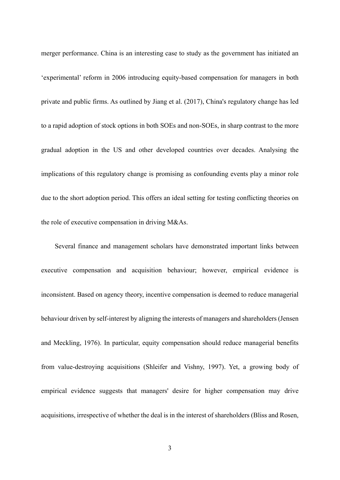merger performance. China is an interesting case to study as the government has initiated an 'experimental' reform in 2006 introducing equity-based compensation for managers in both private and public firms. As outlined by Jiang et al. (2017), China's regulatory change has led to a rapid adoption of stock options in both SOEs and non-SOEs, in sharp contrast to the more gradual adoption in the US and other developed countries over decades. Analysing the implications of this regulatory change is promising as confounding events play a minor role due to the short adoption period. This offers an ideal setting for testing conflicting theories on the role of executive compensation in driving M&As.

Several finance and management scholars have demonstrated important links between executive compensation and acquisition behaviour; however, empirical evidence is inconsistent. Based on agency theory, incentive compensation is deemed to reduce managerial behaviour driven by self-interest by aligning the interests of managers and shareholders (Jensen and Meckling, 1976). In particular, equity compensation should reduce managerial benefits from value-destroying acquisitions (Shleifer and Vishny, 1997). Yet, a growing body of empirical evidence suggests that managers' desire for higher compensation may drive acquisitions, irrespective of whether the deal is in the interest of shareholders (Bliss and Rosen,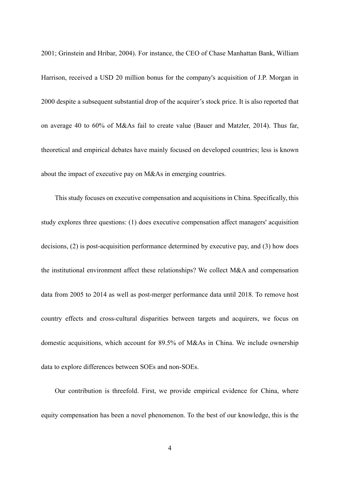2001; Grinstein and Hribar, 2004). For instance, the CEO of Chase Manhattan Bank, William Harrison, received a USD 20 million bonus for the company's acquisition of J.P. Morgan in 2000 despite a subsequent substantial drop of the acquirer's stock price. It is also reported that on average 40 to 60% of M&As fail to create value (Bauer and Matzler, 2014). Thus far, theoretical and empirical debates have mainly focused on developed countries; less is known about the impact of executive pay on M&As in emerging countries.

This study focuses on executive compensation and acquisitions in China. Specifically, this study explores three questions: (1) does executive compensation affect managers' acquisition decisions, (2) is post-acquisition performance determined by executive pay, and (3) how does the institutional environment affect these relationships? We collect M&A and compensation data from 2005 to 2014 as well as post-merger performance data until 2018. To remove host country effects and cross-cultural disparities between targets and acquirers, we focus on domestic acquisitions, which account for 89.5% of M&As in China. We include ownership data to explore differences between SOEs and non-SOEs.

Our contribution is threefold. First, we provide empirical evidence for China, where equity compensation has been a novel phenomenon. To the best of our knowledge, this is the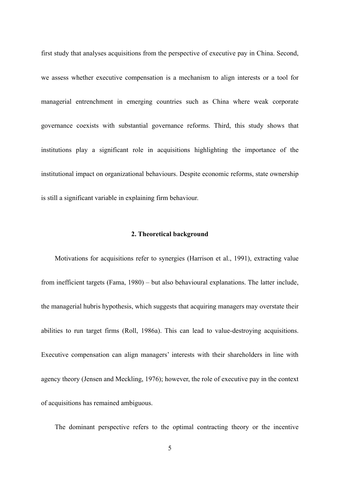first study that analyses acquisitions from the perspective of executive pay in China. Second, we assess whether executive compensation is a mechanism to align interests or a tool for managerial entrenchment in emerging countries such as China where weak corporate governance coexists with substantial governance reforms. Third, this study shows that institutions play a significant role in acquisitions highlighting the importance of the institutional impact on organizational behaviours. Despite economic reforms, state ownership is still a significant variable in explaining firm behaviour.

#### **2. Theoretical background**

Motivations for acquisitions refer to synergies (Harrison et al., 1991), extracting value from inefficient targets (Fama, 1980) – but also behavioural explanations. The latter include, the managerial hubris hypothesis, which suggests that acquiring managers may overstate their abilities to run target firms (Roll, 1986a). This can lead to value-destroying acquisitions. Executive compensation can align managers' interests with their shareholders in line with agency theory (Jensen and Meckling, 1976); however, the role of executive pay in the context of acquisitions has remained ambiguous.

The dominant perspective refers to the optimal contracting theory or the incentive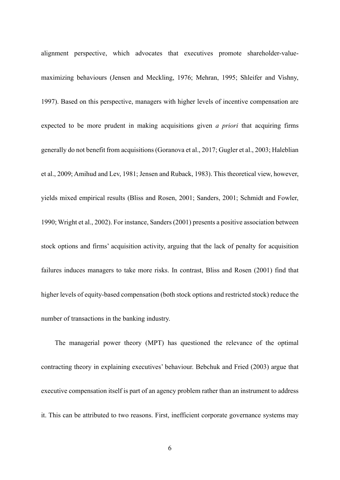alignment perspective, which advocates that executives promote shareholder-valuemaximizing behaviours (Jensen and Meckling, 1976; Mehran, 1995; Shleifer and Vishny, 1997). Based on this perspective, managers with higher levels of incentive compensation are expected to be more prudent in making acquisitions given *a priori* that acquiring firms generally do not benefit from acquisitions (Goranova et al., 2017; Gugler et al., 2003; Haleblian et al., 2009; Amihud and Lev, 1981; Jensen and Ruback, 1983). This theoretical view, however, yields mixed empirical results (Bliss and Rosen, 2001; Sanders, 2001; Schmidt and Fowler, 1990; Wright et al., 2002). For instance, Sanders (2001) presents a positive association between stock options and firms' acquisition activity, arguing that the lack of penalty for acquisition failures induces managers to take more risks. In contrast, Bliss and Rosen (2001) find that higher levels of equity-based compensation (both stock options and restricted stock) reduce the number of transactions in the banking industry.

The managerial power theory (MPT) has questioned the relevance of the optimal contracting theory in explaining executives' behaviour. Bebchuk and Fried (2003) argue that executive compensation itself is part of an agency problem rather than an instrument to address it. This can be attributed to two reasons. First, inefficient corporate governance systems may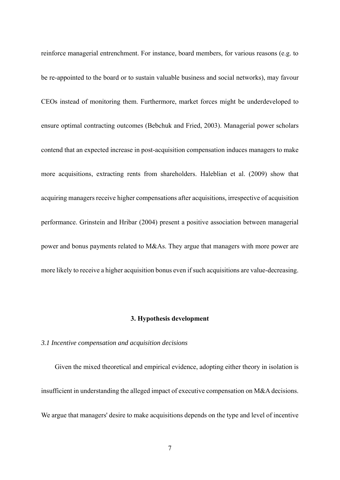reinforce managerial entrenchment. For instance, board members, for various reasons (e.g. to be re-appointed to the board or to sustain valuable business and social networks), may favour CEOs instead of monitoring them. Furthermore, market forces might be underdeveloped to ensure optimal contracting outcomes (Bebchuk and Fried, 2003). Managerial power scholars contend that an expected increase in post-acquisition compensation induces managers to make more acquisitions, extracting rents from shareholders. Haleblian et al. (2009) show that acquiring managers receive higher compensations after acquisitions, irrespective of acquisition performance. Grinstein and Hribar (2004) present a positive association between managerial power and bonus payments related to M&As. They argue that managers with more power are more likely to receive a higher acquisition bonus even if such acquisitions are value-decreasing.

#### **3. Hypothesis development**

#### *3.1 Incentive compensation and acquisition decisions*

Given the mixed theoretical and empirical evidence, adopting either theory in isolation is insufficient in understanding the alleged impact of executive compensation on M&A decisions. We argue that managers' desire to make acquisitions depends on the type and level of incentive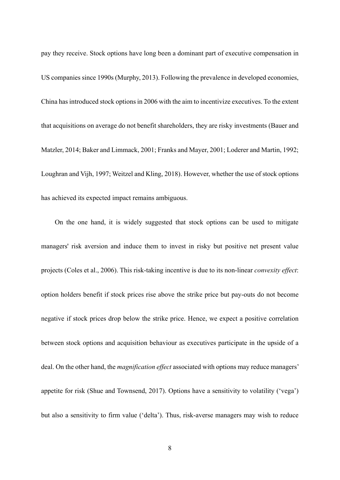pay they receive. Stock options have long been a dominant part of executive compensation in US companies since 1990s (Murphy, 2013). Following the prevalence in developed economies, China has introduced stock options in 2006 with the aim to incentivize executives. To the extent that acquisitions on average do not benefit shareholders, they are risky investments (Bauer and Matzler, 2014; Baker and Limmack, 2001; Franks and Mayer, 2001; Loderer and Martin, 1992; Loughran and Vijh, 1997; Weitzel and Kling, 2018). However, whether the use of stock options has achieved its expected impact remains ambiguous.

On the one hand, it is widely suggested that stock options can be used to mitigate managers' risk aversion and induce them to invest in risky but positive net present value projects (Coles et al., 2006). This risk-taking incentive is due to its non-linear *convexity effect*: option holders benefit if stock prices rise above the strike price but pay-outs do not become negative if stock prices drop below the strike price. Hence, we expect a positive correlation between stock options and acquisition behaviour as executives participate in the upside of a deal. On the other hand, the *magnification effect* associated with options may reduce managers' appetite for risk (Shue and Townsend, 2017). Options have a sensitivity to volatility ('vega') but also a sensitivity to firm value ('delta'). Thus, risk-averse managers may wish to reduce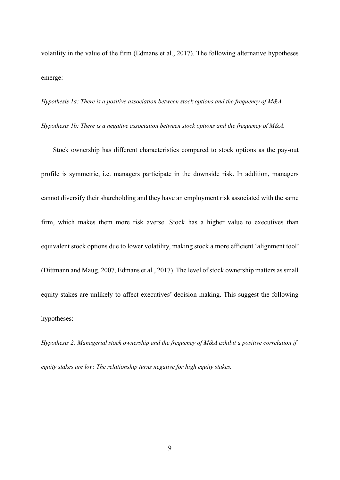volatility in the value of the firm (Edmans et al., 2017). The following alternative hypotheses emerge:

*Hypothesis 1a: There is a positive association between stock options and the frequency of M&A.*

*Hypothesis 1b: There is a negative association between stock options and the frequency of M&A.*

Stock ownership has different characteristics compared to stock options as the pay-out profile is symmetric, i.e. managers participate in the downside risk. In addition, managers cannot diversify their shareholding and they have an employment risk associated with the same firm, which makes them more risk averse. Stock has a higher value to executives than equivalent stock options due to lower volatility, making stock a more efficient 'alignment tool' (Dittmann and Maug, 2007, Edmans et al., 2017). The level of stock ownership matters as small equity stakes are unlikely to affect executives' decision making. This suggest the following hypotheses:

*Hypothesis 2: Managerial stock ownership and the frequency of M&A exhibit a positive correlation if equity stakes are low. The relationship turns negative for high equity stakes.*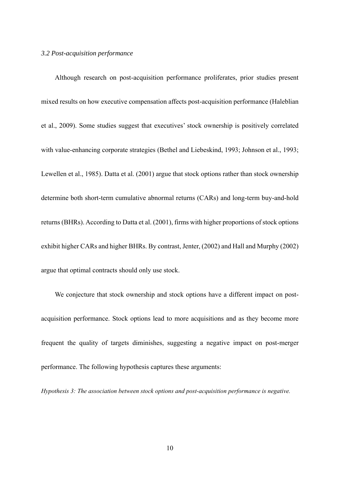#### *3.2 Post-acquisition performance*

Although research on post-acquisition performance proliferates, prior studies present mixed results on how executive compensation affects post-acquisition performance (Haleblian et al., 2009). Some studies suggest that executives' stock ownership is positively correlated with value-enhancing corporate strategies (Bethel and Liebeskind, 1993; Johnson et al., 1993; Lewellen et al., 1985). Datta et al. (2001) argue that stock options rather than stock ownership determine both short-term cumulative abnormal returns (CARs) and long-term buy-and-hold returns (BHRs). According to Datta et al. (2001), firms with higher proportions of stock options exhibit higher CARs and higher BHRs. By contrast, Jenter, (2002) and Hall and Murphy (2002) argue that optimal contracts should only use stock.

We conjecture that stock ownership and stock options have a different impact on postacquisition performance. Stock options lead to more acquisitions and as they become more frequent the quality of targets diminishes, suggesting a negative impact on post-merger performance. The following hypothesis captures these arguments:

*Hypothesis 3: The association between stock options and post-acquisition performance is negative.*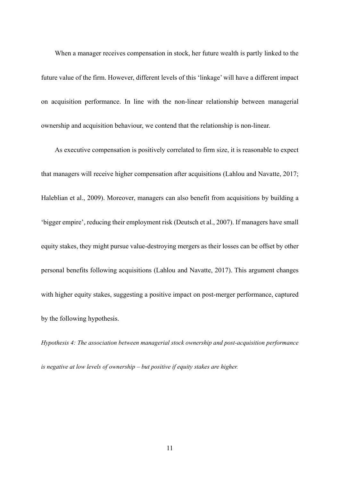When a manager receives compensation in stock, her future wealth is partly linked to the future value of the firm. However, different levels of this 'linkage' will have a different impact on acquisition performance. In line with the non-linear relationship between managerial ownership and acquisition behaviour, we contend that the relationship is non-linear.

As executive compensation is positively correlated to firm size, it is reasonable to expect that managers will receive higher compensation after acquisitions (Lahlou and Navatte, 2017; Haleblian et al., 2009). Moreover, managers can also benefit from acquisitions by building a 'bigger empire', reducing their employment risk (Deutsch et al., 2007). If managers have small equity stakes, they might pursue value-destroying mergers as their losses can be offset by other personal benefits following acquisitions (Lahlou and Navatte, 2017). This argument changes with higher equity stakes, suggesting a positive impact on post-merger performance, captured by the following hypothesis.

*Hypothesis 4: The association between managerial stock ownership and post-acquisition performance is negative at low levels of ownership – but positive if equity stakes are higher.*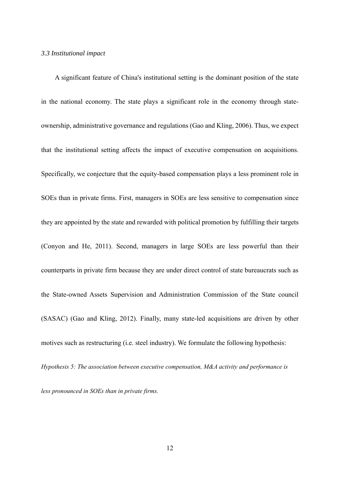#### *3.3 Institutional impact*

A significant feature of China's institutional setting is the dominant position of the state in the national economy. The state plays a significant role in the economy through stateownership, administrative governance and regulations (Gao and Kling, 2006). Thus, we expect that the institutional setting affects the impact of executive compensation on acquisitions. Specifically, we conjecture that the equity-based compensation plays a less prominent role in SOEs than in private firms. First, managers in SOEs are less sensitive to compensation since they are appointed by the state and rewarded with political promotion by fulfilling their targets (Conyon and He, 2011). Second, managers in large SOEs are less powerful than their counterparts in private firm because they are under direct control of state bureaucrats such as the State-owned Assets Supervision and Administration Commission of the State council (SASAC) (Gao and Kling, 2012). Finally, many state-led acquisitions are driven by other motives such as restructuring (i.e. steel industry). We formulate the following hypothesis: *Hypothesis 5: The association between executive compensation, M&A activity and performance is* 

*less pronounced in SOEs than in private firms.*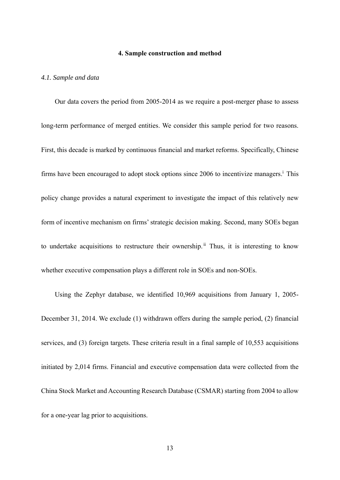#### **4. Sample construction and method**

#### *4.1. Sample and data*

Our data covers the period from 2005-2014 as we require a post-merger phase to assess long-term performance of merged entities. We consider this sample period for two reasons. First, this decade is marked by continuous financial and market reforms. Specifically, Chinese firms have been encouraged to adopt stock options since 2006 to incentivize managers.<sup>1</sup> This policy change provides a natural experiment to investigate the impact of this relatively new form of incentive mechanism on firms'strategic decision making. Second, many SOEs began to undertake acquisitions to restructure their ownership.<sup>ii</sup> Thus, it is interesting to know whether executive compensation plays a different role in SOEs and non-SOEs.

Using the Zephyr database, we identified 10,969 acquisitions from January 1, 2005- December 31, 2014. We exclude (1) withdrawn offers during the sample period, (2) financial services, and (3) foreign targets. These criteria result in a final sample of 10,553 acquisitions initiated by 2,014 firms. Financial and executive compensation data were collected from the China Stock Market and Accounting Research Database (CSMAR) starting from 2004 to allow for a one-year lag prior to acquisitions.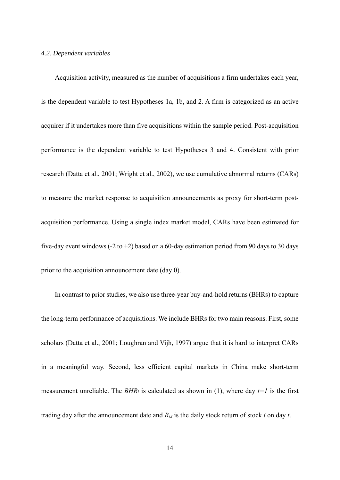#### *4.2. Dependent variables*

Acquisition activity, measured as the number of acquisitions a firm undertakes each year, is the dependent variable to test Hypotheses 1a, 1b, and 2. A firm is categorized as an active acquirer if it undertakes more than five acquisitions within the sample period. Post-acquisition performance is the dependent variable to test Hypotheses 3 and 4. Consistent with prior research (Datta et al., 2001; Wright et al., 2002), we use cumulative abnormal returns (CARs) to measure the market response to acquisition announcements as proxy for short-term postacquisition performance. Using a single index market model, CARs have been estimated for five-day event windows (-2 to +2) based on a 60-day estimation period from 90 days to 30 days prior to the acquisition announcement date (day 0).

In contrast to prior studies, we also use three-year buy-and-hold returns (BHRs) to capture the long-term performance of acquisitions. We include BHRs for two main reasons. First, some scholars (Datta et al., 2001; Loughran and Vijh, 1997) argue that it is hard to interpret CARs in a meaningful way. Second, less efficient capital markets in China make short-term measurement unreliable. The  $BHR_i$  is calculated as shown in (1), where day  $t=1$  is the first trading day after the announcement date and *Ri,t* is the daily stock return of stock *i* on day *t*.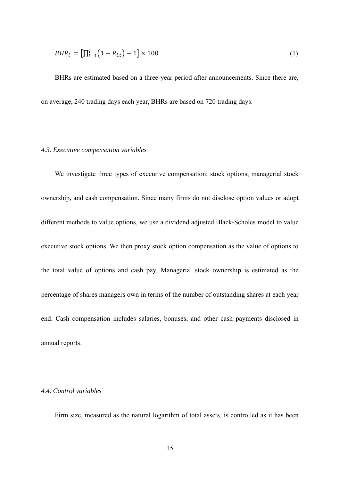$$
BHR_i = \left[\prod_{t=1}^{T} (1 + R_{i,t}) - 1\right] \times 100\tag{1}
$$

BHRs are estimated based on a three-year period after announcements. Since there are, on average, 240 trading days each year, BHRs are based on 720 trading days.

#### *4.3. Executive compensation variables*

We investigate three types of executive compensation: stock options, managerial stock ownership, and cash compensation. Since many firms do not disclose option values or adopt different methods to value options, we use a dividend adjusted Black-Scholes model to value executive stock options. We then proxy stock option compensation as the value of options to the total value of options and cash pay. Managerial stock ownership is estimated as the percentage of shares managers own in terms of the number of outstanding shares at each year end. Cash compensation includes salaries, bonuses, and other cash payments disclosed in annual reports.

#### *4.4. Control variables*

Firm size, measured as the natural logarithm of total assets, is controlled as it has been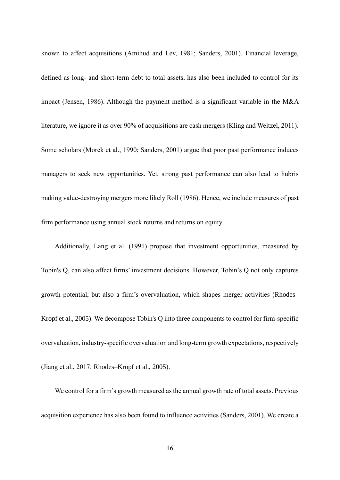known to affect acquisitions (Amihud and Lev, 1981; Sanders, 2001). Financial leverage, defined as long- and short-term debt to total assets, has also been included to control for its impact (Jensen, 1986). Although the payment method is a significant variable in the M&A literature, we ignore it as over 90% of acquisitions are cash mergers (Kling and Weitzel, 2011). Some scholars (Morck et al., 1990; Sanders, 2001) argue that poor past performance induces managers to seek new opportunities. Yet, strong past performance can also lead to hubris making value-destroying mergers more likely Roll (1986). Hence, we include measures of past firm performance using annual stock returns and returns on equity.

Additionally, Lang et al. (1991) propose that investment opportunities, measured by Tobin's Q, can also affect firms' investment decisions. However, Tobin's Q not only captures growth potential, but also a firm's overvaluation, which shapes merger activities (Rhodes– Kropf et al., 2005). We decompose Tobin's Q into three components to control for firm-specific overvaluation, industry-specific overvaluation and long-term growth expectations, respectively (Jiang et al., 2017; Rhodes–Kropf et al., 2005).

We control for a firm's growth measured as the annual growth rate of total assets. Previous acquisition experience has also been found to influence activities (Sanders, 2001). We create a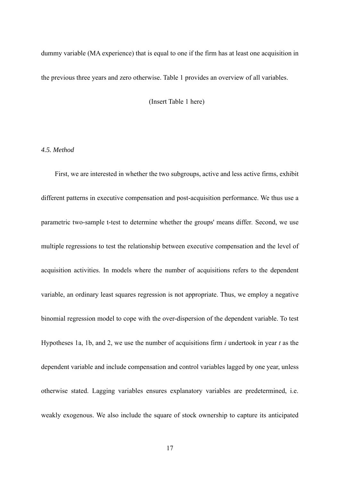dummy variable (MA experience) that is equal to one if the firm has at least one acquisition in the previous three years and zero otherwise. Table 1 provides an overview of all variables.

(Insert Table 1 here)

#### *4.5. Method*

First, we are interested in whether the two subgroups, active and less active firms, exhibit different patterns in executive compensation and post-acquisition performance. We thus use a parametric two-sample t-test to determine whether the groups' means differ*.* Second, we use multiple regressions to test the relationship between executive compensation and the level of acquisition activities. In models where the number of acquisitions refers to the dependent variable, an ordinary least squares regression is not appropriate. Thus, we employ a negative binomial regression model to cope with the over-dispersion of the dependent variable. To test Hypotheses 1a, 1b, and 2, we use the number of acquisitions firm *i* undertook in year *t* as the dependent variable and include compensation and control variables lagged by one year, unless otherwise stated. Lagging variables ensures explanatory variables are predetermined, i.e. weakly exogenous. We also include the square of stock ownership to capture its anticipated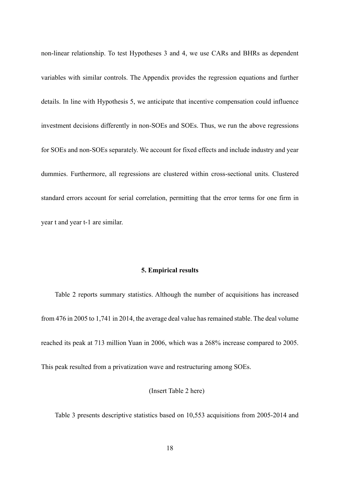non-linear relationship. To test Hypotheses 3 and 4, we use CARs and BHRs as dependent variables with similar controls. The Appendix provides the regression equations and further details. In line with Hypothesis 5, we anticipate that incentive compensation could influence investment decisions differently in non-SOEs and SOEs. Thus, we run the above regressions for SOEs and non-SOEs separately. We account for fixed effects and include industry and year dummies. Furthermore, all regressions are clustered within cross-sectional units. Clustered standard errors account for serial correlation, permitting that the error terms for one firm in year t and year t-1 are similar.

#### **5. Empirical results**

Table 2 reports summary statistics. Although the number of acquisitions has increased from 476 in 2005 to 1,741 in 2014, the average deal value has remained stable. The deal volume reached its peak at 713 million Yuan in 2006, which was a 268% increase compared to 2005.

This peak resulted from a privatization wave and restructuring among SOEs.

#### (Insert Table 2 here)

Table 3 presents descriptive statistics based on 10,553 acquisitions from 2005-2014 and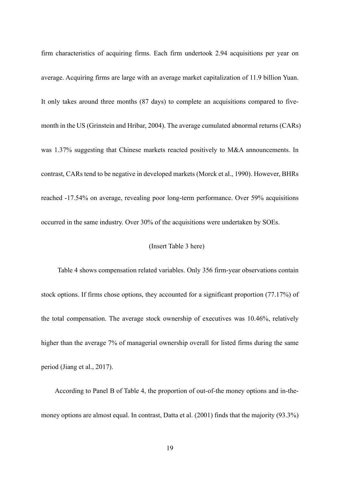firm characteristics of acquiring firms. Each firm undertook 2.94 acquisitions per year on average. Acquiring firms are large with an average market capitalization of 11.9 billion Yuan. It only takes around three months (87 days) to complete an acquisitions compared to fivemonth in the US (Grinstein and Hribar, 2004). The average cumulated abnormal returns (CARs) was 1.37% suggesting that Chinese markets reacted positively to M&A announcements. In contrast, CARs tend to be negative in developed markets (Morck et al., 1990). However, BHRs reached -17.54% on average, revealing poor long-term performance. Over 59% acquisitions occurred in the same industry. Over 30% of the acquisitions were undertaken by SOEs.

#### (Insert Table 3 here)

Table 4 shows compensation related variables. Only 356 firm-year observations contain stock options. If firms chose options, they accounted for a significant proportion (77.17%) of the total compensation. The average stock ownership of executives was 10.46%, relatively higher than the average 7% of managerial ownership overall for listed firms during the same period (Jiang et al., 2017).

According to Panel B of Table 4, the proportion of out-of-the money options and in-themoney options are almost equal. In contrast, Datta et al. (2001) finds that the majority (93.3%)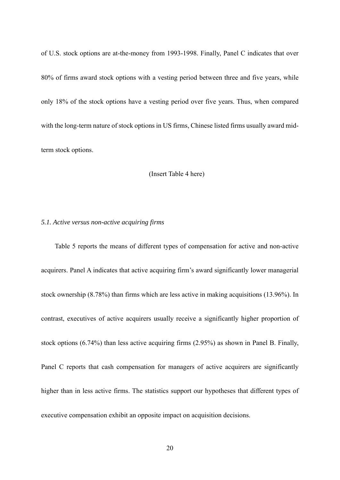of U.S. stock options are at-the-money from 1993-1998. Finally, Panel C indicates that over 80% of firms award stock options with a vesting period between three and five years, while only 18% of the stock options have a vesting period over five years. Thus, when compared with the long-term nature of stock options in US firms, Chinese listed firms usually award midterm stock options.

(Insert Table 4 here)

## *5.1. Active versus non-active acquiring firms*

Table 5 reports the means of different types of compensation for active and non-active acquirers. Panel A indicates that active acquiring firm's award significantly lower managerial stock ownership (8.78%) than firms which are less active in making acquisitions (13.96%). In contrast, executives of active acquirers usually receive a significantly higher proportion of stock options (6.74%) than less active acquiring firms (2.95%) as shown in Panel B. Finally, Panel C reports that cash compensation for managers of active acquirers are significantly higher than in less active firms. The statistics support our hypotheses that different types of executive compensation exhibit an opposite impact on acquisition decisions.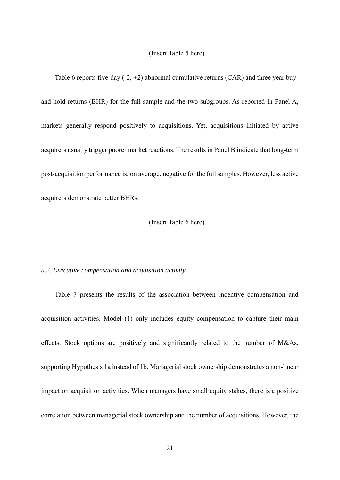#### (Insert Table 5 here)

Table 6 reports five-day  $(-2, +2)$  abnormal cumulative returns  $(CAR)$  and three year buyand-hold returns (BHR) for the full sample and the two subgroups. As reported in Panel A, markets generally respond positively to acquisitions. Yet, acquisitions initiated by active acquirers usually trigger poorer market reactions. The results in Panel B indicate that long-term post-acquisition performance is, on average, negative for the full samples. However, less active acquirers demonstrate better BHRs.

#### (Insert Table 6 here)

#### *5.2. Executive compensation and acquisition activity*

Table 7 presents the results of the association between incentive compensation and acquisition activities. Model (1) only includes equity compensation to capture their main effects. Stock options are positively and significantly related to the number of M&As, supporting Hypothesis 1a instead of 1b. Managerial stock ownership demonstrates a non-linear impact on acquisition activities. When managers have small equity stakes, there is a positive correlation between managerial stock ownership and the number of acquisitions. However, the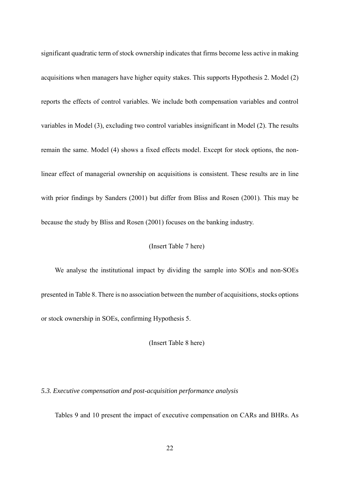significant quadratic term of stock ownership indicates that firms become less active in making acquisitions when managers have higher equity stakes. This supports Hypothesis 2. Model (2) reports the effects of control variables. We include both compensation variables and control variables in Model (3), excluding two control variables insignificant in Model (2). The results remain the same. Model (4) shows a fixed effects model. Except for stock options, the nonlinear effect of managerial ownership on acquisitions is consistent. These results are in line with prior findings by Sanders (2001) but differ from Bliss and Rosen (2001)*.* This may be because the study by Bliss and Rosen (2001) focuses on the banking industry.

#### (Insert Table 7 here)

We analyse the institutional impact by dividing the sample into SOEs and non-SOEs presented in Table 8. There is no association between the number of acquisitions, stocks options or stock ownership in SOEs, confirming Hypothesis 5.

(Insert Table 8 here)

## *5.3. Executive compensation and post-acquisition performance analysis*

Tables 9 and 10 present the impact of executive compensation on CARs and BHRs. As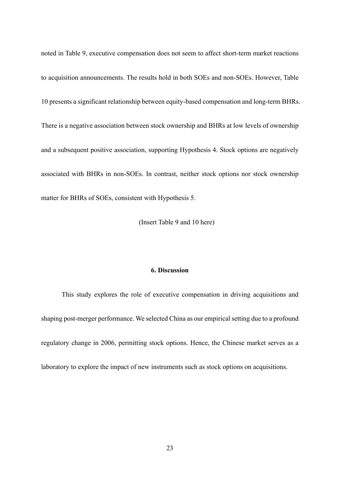noted in Table 9, executive compensation does not seem to affect short-term market reactions to acquisition announcements. The results hold in both SOEs and non-SOEs. However, Table 10 presents a significant relationship between equity-based compensation and long-term BHRs. There is a negative association between stock ownership and BHRs at low levels of ownership and a subsequent positive association, supporting Hypothesis 4. Stock options are negatively associated with BHRs in non-SOEs. In contrast, neither stock options nor stock ownership matter for BHRs of SOEs, consistent with Hypothesis 5.

(Insert Table 9 and 10 here)

#### **6. Discussion**

This study explores the role of executive compensation in driving acquisitions and shaping post-merger performance. We selected China as our empirical setting due to a profound regulatory change in 2006, permitting stock options. Hence, the Chinese market serves as a laboratory to explore the impact of new instruments such as stock options on acquisitions.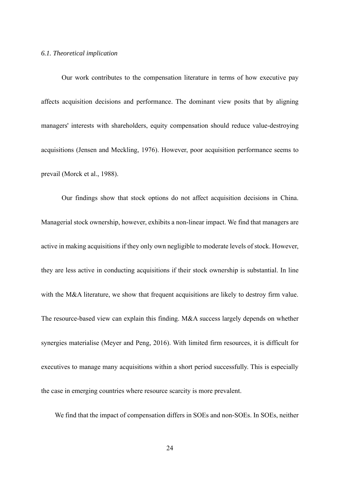#### *6.1. Theoretical implication*

Our work contributes to the compensation literature in terms of how executive pay affects acquisition decisions and performance. The dominant view posits that by aligning managers' interests with shareholders, equity compensation should reduce value-destroying acquisitions (Jensen and Meckling, 1976). However, poor acquisition performance seems to prevail (Morck et al., 1988).

Our findings show that stock options do not affect acquisition decisions in China. Managerial stock ownership, however, exhibits a non-linear impact. We find that managers are active in making acquisitions if they only own negligible to moderate levels of stock. However, they are less active in conducting acquisitions if their stock ownership is substantial. In line with the M&A literature, we show that frequent acquisitions are likely to destroy firm value. The resource-based view can explain this finding. M&A success largely depends on whether synergies materialise (Meyer and Peng, 2016). With limited firm resources, it is difficult for executives to manage many acquisitions within a short period successfully. This is especially the case in emerging countries where resource scarcity is more prevalent.

We find that the impact of compensation differs in SOEs and non-SOEs. In SOEs, neither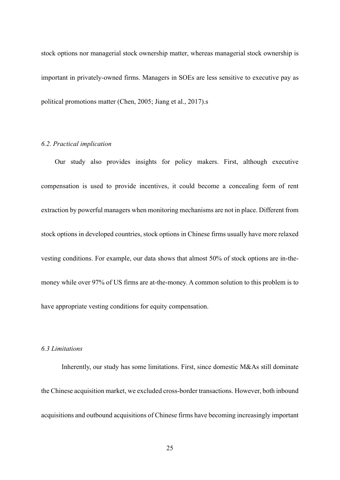stock options nor managerial stock ownership matter, whereas managerial stock ownership is important in privately-owned firms. Managers in SOEs are less sensitive to executive pay as political promotions matter (Chen, 2005; Jiang et al., 2017).s

#### *6.2. Practical implication*

Our study also provides insights for policy makers. First, although executive compensation is used to provide incentives, it could become a concealing form of rent extraction by powerful managers when monitoring mechanisms are not in place. Different from stock options in developed countries, stock options in Chinese firms usually have more relaxed vesting conditions. For example, our data shows that almost 50% of stock options are in-themoney while over 97% of US firms are at-the-money. A common solution to this problem is to have appropriate vesting conditions for equity compensation.

# *6.3 Limitations*

Inherently, our study has some limitations. First, since domestic M&As still dominate the Chinese acquisition market, we excluded cross-border transactions. However, both inbound acquisitions and outbound acquisitions of Chinese firms have becoming increasingly important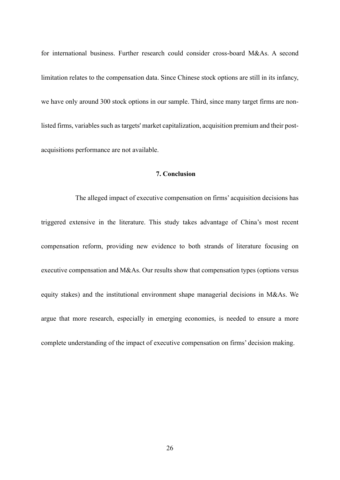for international business. Further research could consider cross-board M&As. A second limitation relates to the compensation data. Since Chinese stock options are still in its infancy, we have only around 300 stock options in our sample. Third, since many target firms are nonlisted firms, variables such as targets' market capitalization, acquisition premium and their postacquisitions performance are not available.

# **7. Conclusion**

 The alleged impact of executive compensation on firms' acquisition decisions has triggered extensive in the literature. This study takes advantage of China's most recent compensation reform, providing new evidence to both strands of literature focusing on executive compensation and M&As. Our results show that compensation types (options versus equity stakes) and the institutional environment shape managerial decisions in M&As. We argue that more research, especially in emerging economies, is needed to ensure a more complete understanding of the impact of executive compensation on firms' decision making.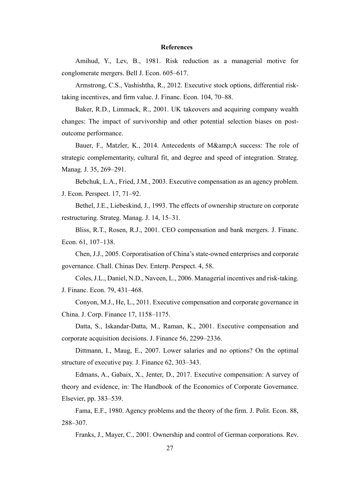#### **References**

Amihud, Y., Lev, B., 1981. Risk reduction as a managerial motive for conglomerate mergers. Bell J. Econ. 605–617.

Armstrong, C.S., Vashishtha, R., 2012. Executive stock options, differential risktaking incentives, and firm value. J. Financ. Econ. 104, 70–88.

Baker, R.D., Limmack, R., 2001. UK takeovers and acquiring company wealth changes: The impact of survivorship and other potential selection biases on postoutcome performance.

Bauer, F., Matzler, K., 2014. Antecedents of M&A success: The role of strategic complementarity, cultural fit, and degree and speed of integration. Strateg. Manag. J. 35, 269–291.

Bebchuk, L.A., Fried, J.M., 2003. Executive compensation as an agency problem. J. Econ. Perspect. 17, 71–92.

Bethel, J.E., Liebeskind, J., 1993. The effects of ownership structure on corporate restructuring. Strateg. Manag. J. 14, 15–31.

Bliss, R.T., Rosen, R.J., 2001. CEO compensation and bank mergers. J. Financ. Econ. 61, 107–138.

Chen, J.J., 2005. Corporatisation of China's state-owned enterprises and corporate governance. Chall. Chinas Dev. Enterp. Perspect. 4, 58.

Coles, J.L., Daniel, N.D., Naveen, L., 2006. Managerial incentives and risk-taking. J. Financ. Econ. 79, 431–468.

Conyon, M.J., He, L., 2011. Executive compensation and corporate governance in China. J. Corp. Finance 17, 1158–1175.

Datta, S., Iskandar-Datta, M., Raman, K., 2001. Executive compensation and corporate acquisition decisions. J. Finance 56, 2299–2336.

Dittmann, I., Maug, E., 2007. Lower salaries and no options? On the optimal structure of executive pay. J. Finance 62, 303–343.

Edmans, A., Gabaix, X., Jenter, D., 2017. Executive compensation: A survey of theory and evidence, in: The Handbook of the Economics of Corporate Governance. Elsevier, pp. 383–539.

Fama, E.F., 1980. Agency problems and the theory of the firm. J. Polit. Econ. 88, 288–307.

Franks, J., Mayer, C., 2001. Ownership and control of German corporations. Rev.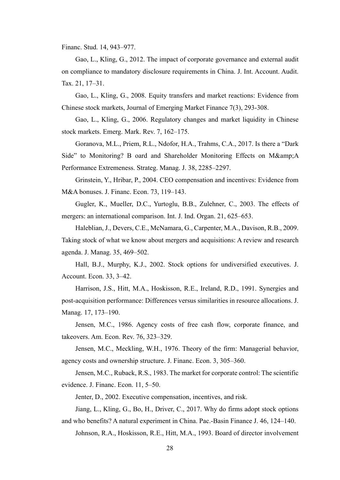Financ. Stud. 14, 943–977.

Gao, L., Kling, G., 2012. The impact of corporate governance and external audit on compliance to mandatory disclosure requirements in China. J. Int. Account. Audit. Tax. 21, 17–31.

Gao, L., Kling, G., 2008. Equity transfers and market reactions: Evidence from Chinese stock markets, Journal of Emerging Market Finance 7(3), 293-308.

Gao, L., Kling, G., 2006. Regulatory changes and market liquidity in Chinese stock markets. Emerg. Mark. Rev. 7, 162–175.

Goranova, M.L., Priem, R.L., Ndofor, H.A., Trahms, C.A., 2017. Is there a "Dark Side" to Monitoring? B oard and Shareholder Monitoring Effects on M&A Performance Extremeness. Strateg. Manag. J. 38, 2285–2297.

Grinstein, Y., Hribar, P., 2004. CEO compensation and incentives: Evidence from M&A bonuses. J. Financ. Econ. 73, 119–143.

Gugler, K., Mueller, D.C., Yurtoglu, B.B., Zulehner, C., 2003. The effects of mergers: an international comparison. Int. J. Ind. Organ. 21, 625–653.

Haleblian, J., Devers, C.E., McNamara, G., Carpenter, M.A., Davison, R.B., 2009. Taking stock of what we know about mergers and acquisitions: A review and research agenda. J. Manag. 35, 469–502.

Hall, B.J., Murphy, K.J., 2002. Stock options for undiversified executives. J. Account. Econ. 33, 3–42.

Harrison, J.S., Hitt, M.A., Hoskisson, R.E., Ireland, R.D., 1991. Synergies and post-acquisition performance: Differences versus similarities in resource allocations. J. Manag. 17, 173–190.

Jensen, M.C., 1986. Agency costs of free cash flow, corporate finance, and takeovers. Am. Econ. Rev. 76, 323–329.

Jensen, M.C., Meckling, W.H., 1976. Theory of the firm: Managerial behavior, agency costs and ownership structure. J. Financ. Econ. 3, 305–360.

Jensen, M.C., Ruback, R.S., 1983. The market for corporate control: The scientific evidence. J. Financ. Econ. 11, 5–50.

Jenter, D., 2002. Executive compensation, incentives, and risk.

Jiang, L., Kling, G., Bo, H., Driver, C., 2017. Why do firms adopt stock options and who benefits? A natural experiment in China. Pac.-Basin Finance J. 46, 124–140.

Johnson, R.A., Hoskisson, R.E., Hitt, M.A., 1993. Board of director involvement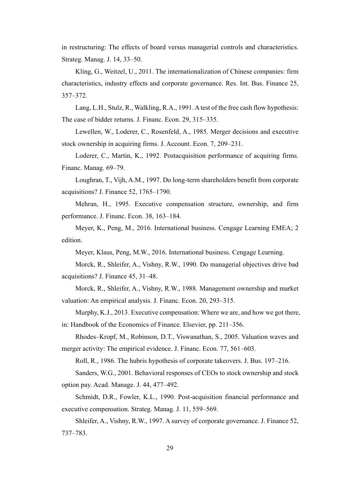in restructuring: The effects of board versus managerial controls and characteristics. Strateg. Manag. J. 14, 33–50.

Kling, G., Weitzel, U., 2011. The internationalization of Chinese companies: firm characteristics, industry effects and corporate governance. Res. Int. Bus. Finance 25, 357–372.

Lang, L.H., Stulz, R., Walkling, R.A., 1991. A test of the free cash flow hypothesis: The case of bidder returns. J. Financ. Econ. 29, 315–335.

Lewellen, W., Loderer, C., Rosenfeld, A., 1985. Merger decisions and executive stock ownership in acquiring firms. J. Account. Econ. 7, 209–231.

Loderer, C., Martin, K., 1992. Postacquisition performance of acquiring firms. Financ. Manag. 69–79.

Loughran, T., Vijh, A.M., 1997. Do long-term shareholders benefit from corporate acquisitions? J. Finance 52, 1765–1790.

Mehran, H., 1995. Executive compensation structure, ownership, and firm performance. J. Financ. Econ. 38, 163–184.

Meyer, K., Peng, M., 2016. International business. Cengage Learning EMEA; 2 edition.

Meyer, Klaus, Peng, M.W., 2016. International business. Cengage Learning.

Morck, R., Shleifer, A., Vishny, R.W., 1990. Do managerial objectives drive bad acquisitions? J. Finance 45, 31–48.

Morck, R., Shleifer, A., Vishny, R.W., 1988. Management ownership and market valuation: An empirical analysis. J. Financ. Econ. 20, 293–315.

Murphy, K.J., 2013. Executive compensation: Where we are, and how we got there, in: Handbook of the Economics of Finance. Elsevier, pp. 211–356.

Rhodes–Kropf, M., Robinson, D.T., Viswanathan, S., 2005. Valuation waves and merger activity: The empirical evidence. J. Financ. Econ. 77, 561–603.

Roll, R., 1986. The hubris hypothesis of corporate takeovers. J. Bus. 197–216.

Sanders, W.G., 2001. Behavioral responses of CEOs to stock ownership and stock option pay. Acad. Manage. J. 44, 477–492.

Schmidt, D.R., Fowler, K.L., 1990. Post-acquisition financial performance and executive compensation. Strateg. Manag. J. 11, 559–569.

Shleifer, A., Vishny, R.W., 1997. A survey of corporate governance. J. Finance 52, 737–783.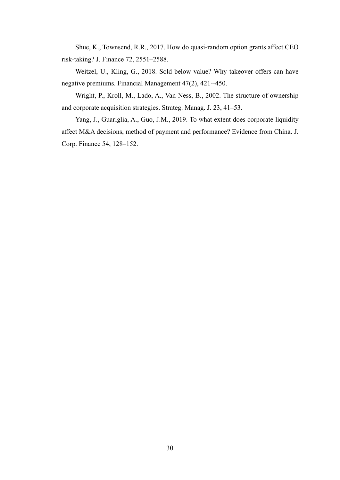Shue, K., Townsend, R.R., 2017. How do quasi-random option grants affect CEO risk-taking? J. Finance 72, 2551–2588.

Weitzel, U., Kling, G., 2018. Sold below value? Why takeover offers can have negative premiums. Financial Management 47(2), 421--450.

Wright, P., Kroll, M., Lado, A., Van Ness, B., 2002. The structure of ownership and corporate acquisition strategies. Strateg. Manag. J. 23, 41–53.

Yang, J., Guariglia, A., Guo, J.M., 2019. To what extent does corporate liquidity affect M&A decisions, method of payment and performance? Evidence from China. J. Corp. Finance 54, 128–152.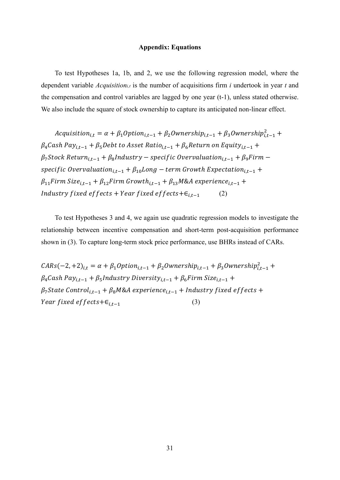#### **Appendix: Equations**

To test Hypotheses 1a, 1b, and 2, we use the following regression model, where the dependent variable *Acquisitioni,t* is the number of acquisitions firm *i* undertook in year *t* and the compensation and control variables are lagged by one year (t-1), unless stated otherwise. We also include the square of stock ownership to capture its anticipated non-linear effect.

Acquisition<sub>i,t</sub> =  $\alpha + \beta_1$ Option<sub>i,t−1</sub> +  $\beta_2$ Ownership<sub>i,t−1</sub> +  $\beta_3$ Ownership ${}_{i,t-1}^2$  +  $\beta_4$ Cash Pay<sub>it-1</sub> +  $\beta_5$ Debt to Asset Ratio<sub>it-1</sub> +  $\beta_6$ Return on Equity<sub>it-1</sub> +  $\beta_7$ Stock Return<sub>i.t-1</sub> +  $\beta_8$ Industry – specific Overvaluation<sub>i.t-1</sub> +  $\beta_9$ Firm – specific Overvaluation<sub>i,t-1</sub> +  $\beta_{10}$ Long – term Growth Expectation<sub>i,t-1</sub> +  $\beta_{11}$ Firm Size<sub>i.t−1</sub> +  $\beta_{12}$ Firm Growth<sub>i.t−1</sub> +  $\beta_{13}$ M&A experience<sub>i.t−1</sub> + Industry fixed effects + Year fixed effects + $\epsilon_{i,t-1}$  (2)

To test Hypotheses 3 and 4, we again use quadratic regression models to investigate the relationship between incentive compensation and short-term post-acquisition performance shown in (3). To capture long-term stock price performance, use BHRs instead of CARs.

 $CARS(-2, +2)_{i,t} = \alpha + \beta_1 Option_{i,t-1} + \beta_2 Ownership_{i,t-1} + \beta_3 Ownership_{i,t-1}^2 +$  $\beta_4$ Cash Pay<sub>it-1</sub> +  $\beta_5$ Industry Diversity<sub>it-1</sub> +  $\beta_6$ Firm Size<sub>it-1</sub> +  $\beta_7$ State Control<sub>i.t−1</sub> +  $\beta_8$ M&A experience<sub>i.t−1</sub> + Industry fixed effects + *Year fixed effects* + $\epsilon_{i,t-1}$  (3)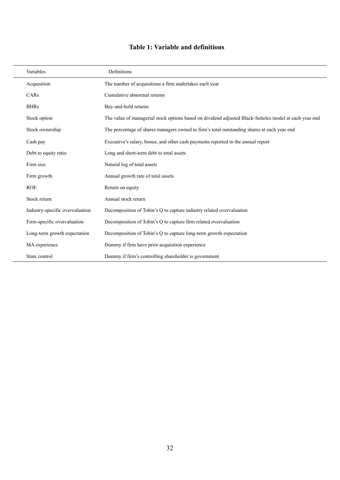# **Table 1: Variable and definitions**

| Variables                       | Definitions                                                                                           |
|---------------------------------|-------------------------------------------------------------------------------------------------------|
| Acquisition                     | The number of acquisitions a firm undertakes each year                                                |
| CARs                            | Cumulative abnormal returns                                                                           |
| <b>BHRs</b>                     | Buy-and-hold returns                                                                                  |
| Stock option                    | The value of managerial stock options based on dividend adjusted Black-Scholes model at each year end |
| Stock ownership                 | The percentage of shares managers owned to firm's total outstanding shares at each year end           |
| Cash pay                        | Executive's salary, bonus, and other cash payments reported in the annual report                      |
| Debt to equity ratio            | Long and short-term debt to total assets                                                              |
| Firm size                       | Natural log of total assets                                                                           |
| Firm growth                     | Annual growth rate of total assets                                                                    |
| <b>ROE</b>                      | Return on equity                                                                                      |
| Stock return                    | Annual stock return                                                                                   |
| Industry-specific overvaluation | Decomposition of Tobin's Q to capture industry related overvaluation                                  |
| Firm-specific overvaluation     | Decomposition of Tobin's Q to capture firm related overvaluation                                      |
| Long-term growth expectation    | Decomposition of Tobin's Q to capture long-term growth expectation                                    |
| MA experience                   | Dummy if firm have prior acquisition experience                                                       |
| State control                   | Dummy if firm's controlling shareholder is government                                                 |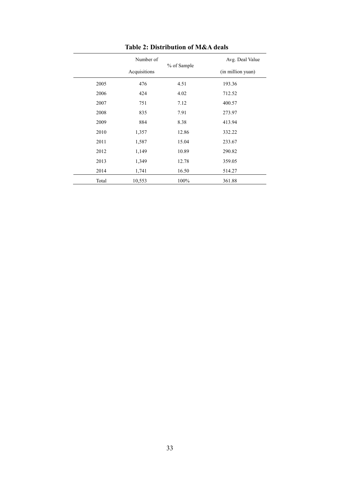|       | Number of    |             | Avg. Deal Value   |
|-------|--------------|-------------|-------------------|
|       | Acquisitions | % of Sample | (in million yuan) |
| 2005  | 476          | 4.51        | 193.36            |
| 2006  | 424          | 4.02        | 712.52            |
| 2007  | 751          | 7.12        | 400.57            |
| 2008  | 835          | 7.91        | 273.97            |
| 2009  | 884          | 8.38        | 413.94            |
| 2010  | 1,357        | 12.86       | 332.22            |
| 2011  | 1,587        | 15.04       | 233.67            |
| 2012  | 1,149        | 10.89       | 290.82            |
| 2013  | 1,349        | 12.78       | 359.05            |
| 2014  | 1,741        | 16.50       | 514.27            |
| Total | 10,553       | 100%        | 361.88            |

# **Table 2: Distribution of M&A deals**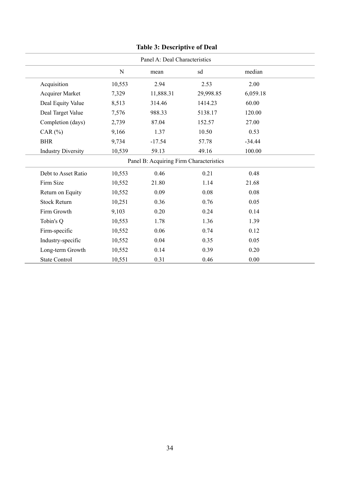| Panel A: Deal Characteristics |        |                                         |           |          |  |
|-------------------------------|--------|-----------------------------------------|-----------|----------|--|
|                               | N      | mean                                    | sd        | median   |  |
| Acquisition                   | 10,553 | 2.94                                    | 2.53      | 2.00     |  |
| Acquirer Market               | 7,329  | 11,888.31                               | 29,998.85 | 6,059.18 |  |
| Deal Equity Value             | 8,513  | 314.46                                  | 1414.23   | 60.00    |  |
| Deal Target Value             | 7,576  | 988.33                                  | 5138.17   | 120.00   |  |
| Completion (days)             | 2,739  | 87.04                                   | 152.57    | 27.00    |  |
| CAR $(%)$                     | 9,166  | 1.37                                    | 10.50     | 0.53     |  |
| <b>BHR</b>                    | 9,734  | $-17.54$                                | 57.78     | $-34.44$ |  |
| <b>Industry Diversity</b>     | 10,539 | 59.13                                   | 49.16     | 100.00   |  |
|                               |        | Panel B: Acquiring Firm Characteristics |           |          |  |
| Debt to Asset Ratio           | 10,553 | 0.46                                    | 0.21      | 0.48     |  |
| Firm Size                     | 10,552 | 21.80                                   | 1.14      | 21.68    |  |
| Return on Equity              | 10,552 | 0.09                                    | 0.08      | 0.08     |  |
| <b>Stock Return</b>           | 10,251 | 0.36                                    | 0.76      | 0.05     |  |
| Firm Growth                   | 9,103  | 0.20                                    | 0.24      | 0.14     |  |
| Tobin's Q                     | 10,553 | 1.78                                    | 1.36      | 1.39     |  |
| Firm-specific                 | 10,552 | 0.06                                    | 0.74      | 0.12     |  |
| Industry-specific             | 10,552 | 0.04                                    | 0.35      | 0.05     |  |
| Long-term Growth              | 10,552 | 0.14                                    | 0.39      | 0.20     |  |
| <b>State Control</b>          | 10,551 | 0.31                                    | 0.46      | 0.00     |  |

# **Table 3: Descriptive of Deal**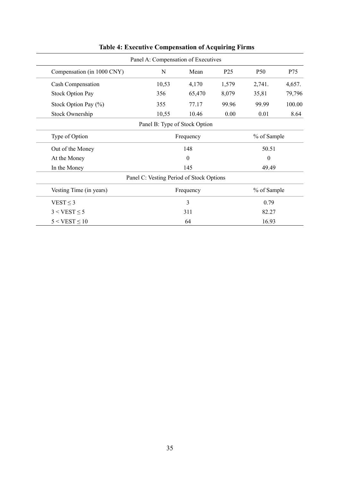|                            | Panel A: Compensation of Executives      |                  |                 |                 |        |
|----------------------------|------------------------------------------|------------------|-----------------|-----------------|--------|
| Compensation (in 1000 CNY) | N                                        | Mean             | P <sub>25</sub> | P <sub>50</sub> | P75    |
| Cash Compensation          | 10,53                                    | 4,170            | 1,579           | 2,741.          | 4,657. |
| <b>Stock Option Pay</b>    | 356                                      | 65,470           | 8,079           | 35,81           | 79,796 |
| Stock Option Pay (%)       | 355                                      | 77.17            | 99.96           | 99.99           | 100.00 |
| Stock Ownership            | 10,55                                    | 10.46            | 0.00            | 0.01            | 8.64   |
|                            | Panel B: Type of Stock Option            |                  |                 |                 |        |
| Type of Option             | Frequency                                |                  | % of Sample     |                 |        |
| Out of the Money           |                                          | 148              |                 | 50.51           |        |
| At the Money               |                                          | $\boldsymbol{0}$ |                 | $\overline{0}$  |        |
| In the Money               | 145                                      |                  |                 | 49.49           |        |
|                            | Panel C: Vesting Period of Stock Options |                  |                 |                 |        |
| Vesting Time (in years)    | % of Sample<br>Frequency                 |                  |                 |                 |        |
| VEST $\leq$ 3              | 3<br>0.79                                |                  |                 |                 |        |
| $3 < VEST \leq 5$          | 311<br>82.27                             |                  |                 |                 |        |
| $5 < VEST \leq 10$         | 64<br>16.93                              |                  |                 |                 |        |

**Table 4: Executive Compensation of Acquiring Firms**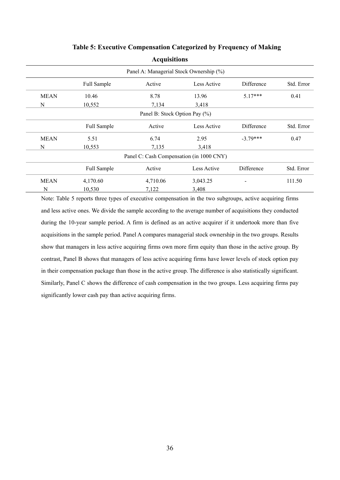|             |             | л.                                       |             |            |            |
|-------------|-------------|------------------------------------------|-------------|------------|------------|
|             |             | Panel A: Managerial Stock Ownership (%)  |             |            |            |
|             | Full Sample | Active                                   | Less Active | Difference | Std. Error |
| <b>MEAN</b> | 10.46       | 8.78                                     | 13.96       | $5.17***$  | 0.41       |
| N           | 10,552      | 7,134                                    | 3,418       |            |            |
|             |             | Panel B: Stock Option Pay (%)            |             |            |            |
|             | Full Sample | Active                                   | Less Active | Difference | Std. Error |
| <b>MEAN</b> | 5.51        | 6.74                                     | 2.95        | $-3.79***$ | 0.47       |
| N           | 10,553      | 7,135                                    | 3,418       |            |            |
|             |             | Panel C: Cash Compensation (in 1000 CNY) |             |            |            |
|             | Full Sample | Active                                   | Less Active | Difference | Std. Error |
| <b>MEAN</b> | 4,170.60    | 4,710.06                                 | 3,043.25    |            | 111.50     |
| N           | 10,530      | 7,122                                    | 3,408       |            |            |

## **Table 5: Executive Compensation Categorized by Frequency of Making**

**Acquisitions**

Note: Table 5 reports three types of executive compensation in the two subgroups, active acquiring firms and less active ones. We divide the sample according to the average number of acquisitions they conducted during the 10-year sample period. A firm is defined as an active acquirer if it undertook more than five acquisitions in the sample period. Panel A compares managerial stock ownership in the two groups. Results show that managers in less active acquiring firms own more firm equity than those in the active group. By contrast, Panel B shows that managers of less active acquiring firms have lower levels of stock option pay in their compensation package than those in the active group. The difference is also statistically significant. Similarly, Panel C shows the difference of cash compensation in the two groups. Less acquiring firms pay significantly lower cash pay than active acquiring firms.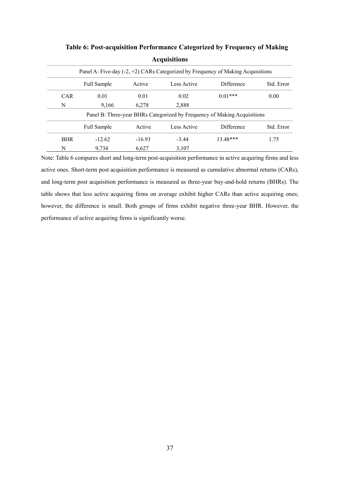|            |             |          |             | Panel A: Five-day (-2, +2) CARs Categorized by Frequency of Making Acquisitions |            |
|------------|-------------|----------|-------------|---------------------------------------------------------------------------------|------------|
|            | Full Sample | Active   | Less Active | Difference                                                                      | Std. Error |
| <b>CAR</b> | 0.01        | 0.01     | 0.02        | $0.01***$                                                                       | 0.00       |
| N          | 9,166       | 6,278    | 2,888       |                                                                                 |            |
|            |             |          |             | Panel B: Three-year BHRs Categorized by Frequency of Making Acquisitions        |            |
|            | Full Sample | Active   | Less Active | Difference                                                                      | Std. Error |
| <b>BHR</b> | $-12.62$    | $-16.93$ | $-3.44$     | 13.48***                                                                        | 1.75       |
| N          | 9.734       | 6.627    | 3.107       |                                                                                 |            |

**Table 6: Post-acquisition Performance Categorized by Frequency of Making Acquisitions**

Note: Table 6 compares short and long-term post-acquisition performance in active acquiring firms and less active ones. Short-term post acquisition performance is measured as cumulative abnormal returns (CARs), and long-term post acquisition performance is measured as three-year buy-and-hold returns (BHRs). The table shows that less active acquiring firms on average exhibit higher CARs than active acquiring ones; however, the difference is small. Both groups of firms exhibit negative three-year BHR. However, the performance of active acquiring firms is significantly worse.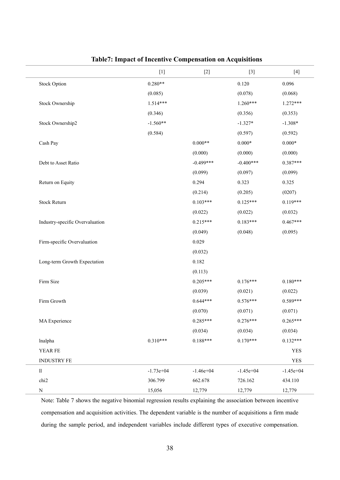|                                 | $[1]$       | $[2]$       | $[3]$           | $[4]$           |
|---------------------------------|-------------|-------------|-----------------|-----------------|
| <b>Stock Option</b>             | $0.280**$   |             | 0.120           | 0.096           |
|                                 | (0.085)     |             | (0.078)         | (0.068)         |
| Stock Ownership                 | 1.514***    |             | $1.260***$      | $1.272***$      |
|                                 | (0.346)     |             | (0.356)         | (0.353)         |
| Stock Ownership2                | $-1.560**$  |             | $-1.327*$       | $-1.308*$       |
|                                 | (0.584)     |             | (0.597)         | (0.592)         |
| Cash Pay                        |             | $0.000**$   | $0.000\text{*}$ | $0.000\text{*}$ |
|                                 |             | (0.000)     | (0.000)         | (0.000)         |
| Debt to Asset Ratio             |             | $-0.499***$ | $-0.400***$     | $0.387***$      |
|                                 |             | (0.099)     | (0.097)         | (0.099)         |
| Return on Equity                |             | 0.294       | 0.323           | 0.325           |
|                                 |             | (0.214)     | (0.205)         | (0207)          |
| <b>Stock Return</b>             |             | $0.103***$  | $0.125***$      | $0.119***$      |
|                                 |             | (0.022)     | (0.022)         | (0.032)         |
| Industry-specific Overvaluation |             | $0.215***$  | $0.183***$      | $0.467***$      |
|                                 |             | (0.049)     | (0.048)         | (0.095)         |
| Firm-specific Overvaluation     |             | 0.029       |                 |                 |
|                                 |             | (0.032)     |                 |                 |
| Long-term Growth Expectation    |             | 0.182       |                 |                 |
|                                 |             | (0.113)     |                 |                 |
| Firm Size                       |             | $0.205***$  | $0.176***$      | $0.180***$      |
|                                 |             | (0.039)     | (0.021)         | (0.022)         |
| Firm Growth                     |             | $0.644***$  | $0.576***$      | $0.589***$      |
|                                 |             | (0.070)     | (0.071)         | (0.071)         |
| MA Experience                   |             | $0.285***$  | $0.276***$      | $0.265***$      |
|                                 |             | (0.034)     | (0.034)         | (0.034)         |
| lnalpha                         | $0.310***$  | $0.188***$  | $0.170***$      | $0.132***$      |
| YEAR FE                         |             |             |                 | <b>YES</b>      |
| INDUSTRY FE                     |             |             |                 | <b>YES</b>      |
| 11                              | $-1.73e+04$ | $-1.46e+04$ | $-1.45e+04$     | $-1.45e+04$     |
| chi2                            | 306.799     | 662.678     | 726.162         | 434.110         |
| ${\bf N}$                       | 15,056      | 12,779      | 12,779          | 12,779          |

# **Table7: Impact of Incentive Compensation on Acquisitions**

Note: Table 7 shows the negative binomial regression results explaining the association between incentive compensation and acquisition activities. The dependent variable is the number of acquisitions a firm made during the sample period, and independent variables include different types of executive compensation.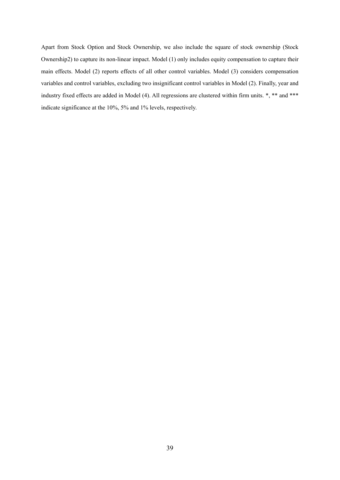Apart from Stock Option and Stock Ownership, we also include the square of stock ownership (Stock Ownership2) to capture its non-linear impact. Model (1) only includes equity compensation to capture their main effects. Model (2) reports effects of all other control variables. Model (3) considers compensation variables and control variables, excluding two insignificant control variables in Model (2). Finally, year and industry fixed effects are added in Model (4). All regressions are clustered within firm units. \*, \*\* and \*\*\* indicate significance at the 10%, 5% and 1% levels, respectively.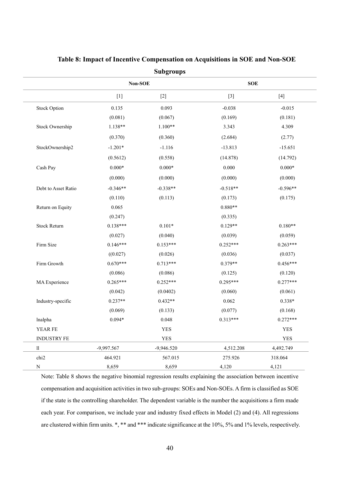|                     |                | pungruups    |            |                 |
|---------------------|----------------|--------------|------------|-----------------|
|                     | <b>Non-SOE</b> |              | <b>SOE</b> |                 |
|                     | $[1]$          | $[2]$        | $[3]$      | $[4]$           |
| <b>Stock Option</b> | 0.135          | 0.093        | $-0.038$   | $-0.015$        |
|                     | (0.081)        | (0.067)      | (0.169)    | (0.181)         |
| Stock Ownership     | $1.138**$      | $1.100**$    | 3.343      | 4.309           |
|                     | (0.370)        | (0.360)      | (2.684)    | (2.77)          |
| StockOwnership2     | $-1.201*$      | $-1.116$     | $-13.813$  | $-15.651$       |
|                     | (0.5612)       | (0.558)      | (14.878)   | (14.792)        |
| Cash Pay            | $0.000*$       | $0.000*$     | 0.000      | $0.000\text{*}$ |
|                     | (0.000)        | (0.000)      | (0.000)    | (0.000)         |
| Debt to Asset Ratio | $-0.346**$     | $-0.338**$   | $-0.518**$ | $-0.596**$      |
|                     | (0.110)        | (0.113)      | (0.173)    | (0.175)         |
| Return on Equity    | 0.065          |              | $0.880**$  |                 |
|                     | (0.247)        |              | (0.335)    |                 |
| <b>Stock Return</b> | $0.138***$     | $0.101*$     | $0.129**$  | $0.180**$       |
|                     | (0.027)        | (0.040)      | (0.039)    | (0.059)         |
| Firm Size           | $0.146***$     | $0.153***$   | $0.252***$ | $0.263***$      |
|                     | ((0.027)       | (0.026)      | (0.036)    | (0.037)         |
| Firm Growth         | $0.670***$     | $0.713***$   | $0.379**$  | $0.456***$      |
|                     | (0.086)        | (0.086)      | (0.125)    | (0.120)         |
| MA Experience       | $0.265***$     | $0.252***$   | $0.295***$ | $0.277***$      |
|                     | (0.042)        | (0.0402)     | (0.060)    | (0.061)         |
| Industry-specific   | $0.237**$      | $0.432**$    | 0.062      | $0.338*$        |
|                     | (0.069)        | (0.133)      | (0.077)    | (0.168)         |
| lnalpha             | $0.094*$       | 0.048        | $0.313***$ | $0.272***$      |
| YEAR FE             |                | <b>YES</b>   |            | <b>YES</b>      |
| INDUSTRY FE         |                | <b>YES</b>   |            | <b>YES</b>      |
| 11                  | -9,997.567     | $-9,946.520$ | 4,512.208  | 4,492.749       |
| chi <sub>2</sub>    | 464.921        | 567.015      | 275.926    | 318.064         |
| N                   | 8,659          | 8,659        | 4,120      | 4,121           |

# **Table 8: Impact of Incentive Compensation on Acquisitions in SOE and Non-SOE**

**Subgroups**

Note: Table 8 shows the negative binomial regression results explaining the association between incentive compensation and acquisition activities in two sub-groups: SOEs and Non-SOEs. A firm is classified as SOE if the state is the controlling shareholder. The dependent variable is the number the acquisitions a firm made each year. For comparison, we include year and industry fixed effects in Model (2) and (4). All regressions are clustered within firm units. \*, \*\* and \*\*\* indicate significance at the 10%, 5% and 1% levels, respectively.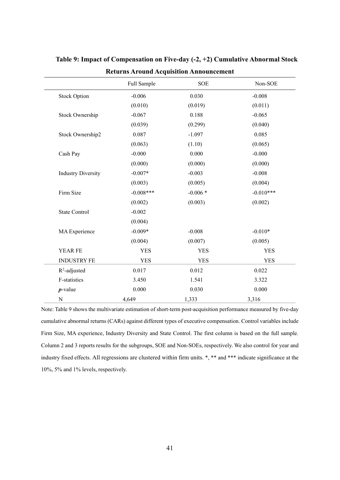|                           | Full Sample | <b>SOE</b> | Non-SOE     |
|---------------------------|-------------|------------|-------------|
| <b>Stock Option</b>       | $-0.006$    | 0.030      | $-0.008$    |
|                           | (0.010)     | (0.019)    | (0.011)     |
| Stock Ownership           | $-0.067$    | 0.188      | $-0.065$    |
|                           | (0.039)     | (0.299)    | (0.040)     |
| Stock Ownership2          | 0.087       | $-1.097$   | 0.085       |
|                           | (0.063)     | (1.10)     | (0.065)     |
| Cash Pay                  | $-0.000$    | 0.000      | $-0.000$    |
|                           | (0.000)     | (0.000)    | (0.000)     |
| <b>Industry Diversity</b> | $-0.007*$   | $-0.003$   | $-0.008$    |
|                           | (0.003)     | (0.005)    | (0.004)     |
| Firm Size                 | $-0.008***$ | $-0.006*$  | $-0.010***$ |
|                           | (0.002)     | (0.003)    | (0.002)     |
| <b>State Control</b>      | $-0.002$    |            |             |
|                           | (0.004)     |            |             |
| MA Experience             | $-0.009*$   | $-0.008$   | $-0.010*$   |
|                           | (0.004)     | (0.007)    | (0.005)     |
| YEAR FE                   | <b>YES</b>  | <b>YES</b> | <b>YES</b>  |
| <b>INDUSTRY FE</b>        | <b>YES</b>  | <b>YES</b> | <b>YES</b>  |
| $R^2$ -adjusted           | 0.017       | 0.012      | 0.022       |
| F-statistics              | 3.450       | 1.541      | 3.322       |
| $p$ -value                | 0.000       | 0.030      | 0.000       |
| N                         | 4,649       | 1,333      | 3,316       |

**Table 9: Impact of Compensation on Five-day (-2, +2) Cumulative Abnormal Stock Returns Around Acquisition Announcement**

Note: Table 9 shows the multivariate estimation of short-term post-acquisition performance measured by five-day cumulative abnormal returns (CARs) against different types of executive compensation. Control variables include Firm Size, MA experience, Industry Diversity and State Control. The first column is based on the full sample. Column 2 and 3 reports results for the subgroups, SOE and Non-SOEs, respectively. We also control for year and industry fixed effects. All regressions are clustered within firm units. \*, \*\* and \*\*\* indicate significance at the 10%, 5% and 1% levels, respectively.